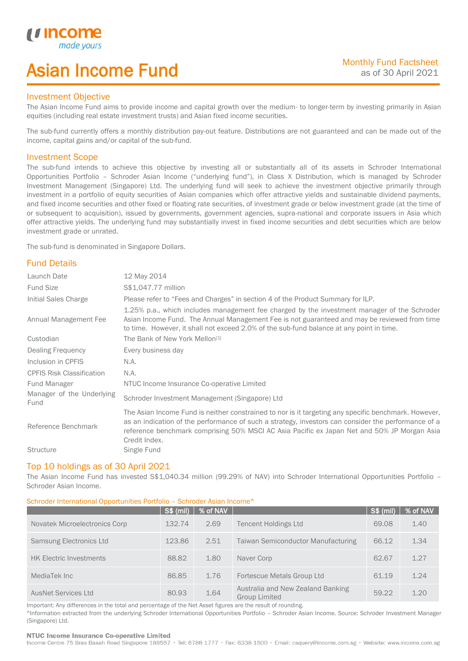# Asian Income Fund

## Investment Objective

u incor

I

The Asian Income Fund aims to provide income and capital growth over the medium- to longer-term by investing primarily in Asian equities (including real estate investment trusts) and Asian fixed income securities.

The sub-fund currently offers a monthly distribution pay-out feature. Distributions are not guaranteed and can be made out of the income, capital gains and/or capital of the sub-fund.

## Investment Scope

The sub-fund intends to achieve this objective by investing all or substantially all of its assets in Schroder International Opportunities Portfolio – Schroder Asian Income ("underlying fund"), in Class X Distribution, which is managed by Schroder Investment Management (Singapore) Ltd. The underlying fund will seek to achieve the investment objective primarily through investment in a portfolio of equity securities of Asian companies which offer attractive yields and sustainable dividend payments, and fixed income securities and other fixed or floating rate securities, of investment grade or below investment grade (at the time of or subsequent to acquisition), issued by governments, government agencies, supra-national and corporate issuers in Asia which offer attractive yields. The underlying fund may substantially invest in fixed income securities and debt securities which are below investment grade or unrated.

The sub-fund is denominated in Singapore Dollars.

## Fund Details

| Launch Date                       | 12 May 2014                                                                                                                                                                                                                                                                                                                 |
|-----------------------------------|-----------------------------------------------------------------------------------------------------------------------------------------------------------------------------------------------------------------------------------------------------------------------------------------------------------------------------|
| <b>Fund Size</b>                  | \$\$1,047.77 million                                                                                                                                                                                                                                                                                                        |
| Initial Sales Charge              | Please refer to "Fees and Charges" in section 4 of the Product Summary for ILP.                                                                                                                                                                                                                                             |
| Annual Management Fee             | 1.25% p.a., which includes management fee charged by the investment manager of the Schroder<br>Asian Income Fund. The Annual Management Fee is not guaranteed and may be reviewed from time<br>to time. However, it shall not exceed 2.0% of the sub-fund balance at any point in time.                                     |
| Custodian                         | The Bank of New York Mellon <sup>[1]</sup>                                                                                                                                                                                                                                                                                  |
| Dealing Frequency                 | Every business day                                                                                                                                                                                                                                                                                                          |
| Inclusion in CPFIS                | N.A.                                                                                                                                                                                                                                                                                                                        |
| <b>CPFIS Risk Classification</b>  | N.A.                                                                                                                                                                                                                                                                                                                        |
| <b>Fund Manager</b>               | NTUC Income Insurance Co-operative Limited                                                                                                                                                                                                                                                                                  |
| Manager of the Underlying<br>Fund | Schroder Investment Management (Singapore) Ltd                                                                                                                                                                                                                                                                              |
| Reference Benchmark               | The Asian Income Fund is neither constrained to nor is it targeting any specific benchmark. However,<br>as an indication of the performance of such a strategy, investors can consider the performance of a<br>reference benchmark comprising 50% MSCI AC Asia Pacific ex Japan Net and 50% JP Morgan Asia<br>Credit Index. |
| <b>Structure</b>                  | Single Fund                                                                                                                                                                                                                                                                                                                 |

#### Top 10 holdings as of 30 April 2021

The Asian Income Fund has invested S\$1,040.34 million (99.29% of NAV) into Schroder International Opportunities Portfolio – Schroder Asian Income.

### Schroder International Opportunities Portfolio – Schroder Asian Income^

|                                | <b>S\$ (mil)</b> | % of NAV |                                                           | S\$ (mil) | % of NAV |
|--------------------------------|------------------|----------|-----------------------------------------------------------|-----------|----------|
| Novatek Microelectronics Corp  | 132.74           | 2.69     | <b>Tencent Holdings Ltd</b>                               | 69.08     | 1.40     |
| Samsung Electronics Ltd        | 123.86           | 2.51     | <b>Taiwan Semiconductor Manufacturing</b>                 | 66.12     | 1.34     |
| <b>HK Electric Investments</b> | 88.82            | 1.80     | Naver Corp                                                | 62.67     | 1.27     |
| MediaTek Inc                   | 86.85            | 1.76     | Fortescue Metals Group Ltd                                | 61.19     | 1.24     |
| <b>AusNet Services Ltd</b>     | 80.93            | 1.64     | Australia and New Zealand Banking<br><b>Group Limited</b> | 59.22     | 1.20     |

Important: Any differences in the total and percentage of the Net Asset figures are the result of rounding. ^Information extracted from the underlying Schroder International Opportunities Portfolio – Schroder Asian Income. Source: Schroder Investment Manager (Singapore) Ltd.

#### NTUC Income Insurance Co-operative Limited

Income Centre 75 Bras Basah Road Singapore 189557 · Tel: 6788 1777 · Fax: 6338 1500 · Email: csquery@income.com.sg · Website: www.income.com.sg